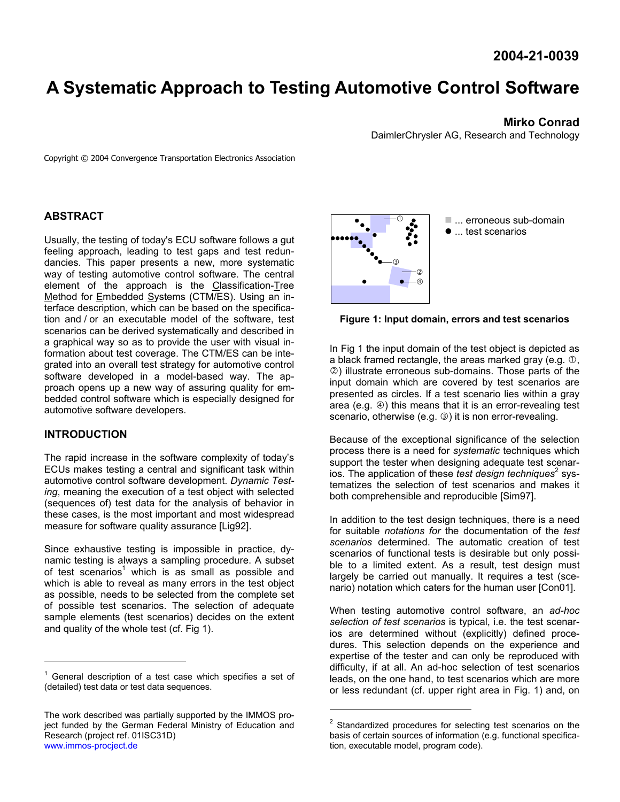# **A Systematic Approach to Testing Automotive Control Software**

# **Mirko Conrad**

DaimlerChrysler AG, Research and Technology

Copyright © 2004 Convergence Transportation Electronics Association

# **ABSTRACT**

Usually, the testing of today's ECU software follows a gut feeling approach, leading to test gaps and test redundancies. This paper presents a new, more systematic way of testing automotive control software. The central element of the approach is the Classification-Tree Method for Embedded Systems (CTM/ES). Using an interface description, which can be based on the specification and / or an executable model of the software, test scenarios can be derived systematically and described in a graphical way so as to provide the user with visual information about test coverage. The CTM/ES can be integrated into an overall test strategy for automotive control software developed in a model-based way. The approach opens up a new way of assuring quality for embedded control software which is especially designed for automotive software developers.

# **INTRODUCTION**

l

The rapid increase in the software complexity of today's ECUs makes testing a central and significant task within automotive control software development. *Dynamic Testing*, meaning the execution of a test object with selected (sequences of) test data for the analysis of behavior in these cases, is the most important and most widespread measure for software quality assurance [Lig92].

Since exhaustive testing is impossible in practice, dynamic testing is always a sampling procedure. A subset of test scenarios<sup>1</sup> which is as small as possible and which is able to reveal as many errors in the test object as possible, needs to be selected from the complete set of possible test scenarios. The selection of adequate sample elements (test scenarios) decides on the extent and quality of the whole test (cf. Fig 1).



■ ... erroneous sub-domain  $\bullet$  ... test scenarios

# **Figure 1: Input domain, errors and test scenarios**

In Fig 1 the input domain of the test object is depicted as a black framed rectangle, the areas marked gray (e.g.  $\mathbb{O}$ , d) illustrate erroneous sub-domains. Those parts of the input domain which are covered by test scenarios are presented as circles. If a test scenario lies within a gray area (e.g.  $\circled{e}$ ) this means that it is an error-revealing test scenario, otherwise (e.g.  $\circled{)}$ ) it is non error-revealing.

Because of the exceptional significance of the selection process there is a need for *systematic* techniques which support the tester when designing adequate test scenarios. The application of these *test design techniques*<sup>2</sup> systematizes the selection of test scenarios and makes it both comprehensible and reproducible [Sim97].

In addition to the test design techniques, there is a need for suitable *notations for* the documentation of the *test scenarios* determined. The automatic creation of test scenarios of functional tests is desirable but only possible to a limited extent. As a result, test design must largely be carried out manually. It requires a test (scenario) notation which caters for the human user [Con01].

When testing automotive control software, an *ad-hoc selection of test scenarios* is typical, i.e. the test scenarios are determined without (explicitly) defined procedures. This selection depends on the experience and expertise of the tester and can only be reproduced with difficulty, if at all. An ad-hoc selection of test scenarios leads, on the one hand, to test scenarios which are more or less redundant (cf. upper right area in Fig. 1) and, on

l

 $1$  General description of a test case which specifies a set of (detailed) test data or test data sequences.

The work described was partially supported by the IMMOS project funded by the German Federal Ministry of Education and Research (project ref. 01ISC31D) www.immos-procject.de

 $2$  Standardized procedures for selecting test scenarios on the basis of certain sources of information (e.g. functional specification, executable model, program code).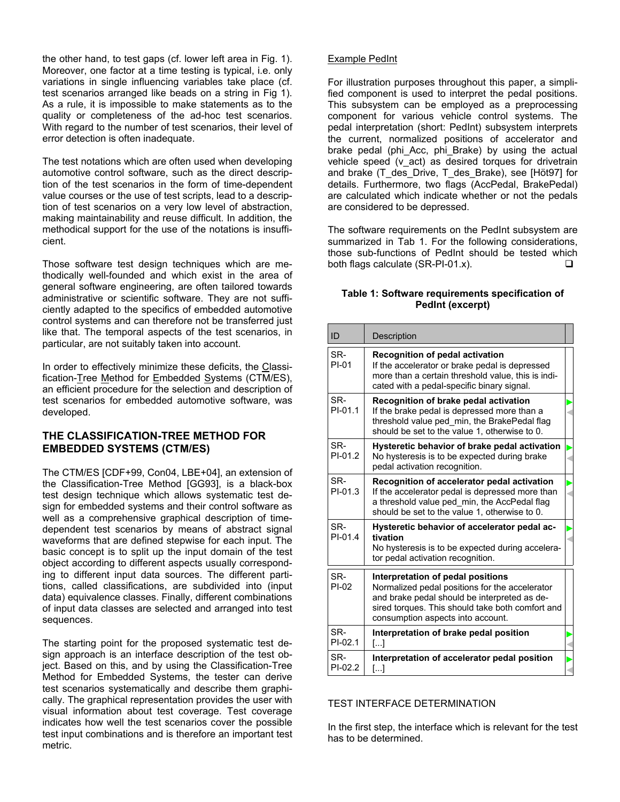the other hand, to test gaps (cf. lower left area in Fig. 1). Moreover, one factor at a time testing is typical, i.e. only variations in single influencing variables take place (cf. test scenarios arranged like beads on a string in Fig 1). As a rule, it is impossible to make statements as to the quality or completeness of the ad-hoc test scenarios. With regard to the number of test scenarios, their level of error detection is often inadequate.

The test notations which are often used when developing automotive control software, such as the direct description of the test scenarios in the form of time-dependent value courses or the use of test scripts, lead to a description of test scenarios on a very low level of abstraction, making maintainability and reuse difficult. In addition, the methodical support for the use of the notations is insufficient.

Those software test design techniques which are methodically well-founded and which exist in the area of general software engineering, are often tailored towards administrative or scientific software. They are not sufficiently adapted to the specifics of embedded automotive control systems and can therefore not be transferred just like that. The temporal aspects of the test scenarios, in particular, are not suitably taken into account.

In order to effectively minimize these deficits, the Classification-Tree Method for Embedded Systems (CTM/ES), an efficient procedure for the selection and description of test scenarios for embedded automotive software, was developed.

# **THE CLASSIFICATION-TREE METHOD FOR EMBEDDED SYSTEMS (CTM/ES)**

The CTM/ES [CDF+99, Con04, LBE+04], an extension of the Classification-Tree Method [GG93], is a black-box test design technique which allows systematic test design for embedded systems and their control software as well as a comprehensive graphical description of timedependent test scenarios by means of abstract signal waveforms that are defined stepwise for each input. The basic concept is to split up the input domain of the test object according to different aspects usually corresponding to different input data sources. The different partitions, called classifications, are subdivided into (input data) equivalence classes. Finally, different combinations of input data classes are selected and arranged into test sequences.

The starting point for the proposed systematic test design approach is an interface description of the test object. Based on this, and by using the Classification-Tree Method for Embedded Systems, the tester can derive test scenarios systematically and describe them graphically. The graphical representation provides the user with visual information about test coverage. Test coverage indicates how well the test scenarios cover the possible test input combinations and is therefore an important test metric.

# Example PedInt

For illustration purposes throughout this paper, a simplified component is used to interpret the pedal positions. This subsystem can be employed as a preprocessing component for various vehicle control systems. The pedal interpretation (short: PedInt) subsystem interprets the current, normalized positions of accelerator and brake pedal (phi Acc, phi Brake) by using the actual vehicle speed (v\_act) as desired torques for drivetrain and brake (T\_des\_Drive, T\_des\_Brake), see [Höt97] for details. Furthermore, two flags (AccPedal, BrakePedal) are calculated which indicate whether or not the pedals are considered to be depressed.

The software requirements on the PedInt subsystem are summarized in Tab 1. For the following considerations, those sub-functions of PedInt should be tested which both flags calculate (SR-PI-01.x).  $\square$ 

#### **Table 1: Software requirements specification of PedInt (excerpt)**

| ID               | Description                                                                                                                                                                                                                  |  |
|------------------|------------------------------------------------------------------------------------------------------------------------------------------------------------------------------------------------------------------------------|--|
| SR-<br>$PI-01$   | <b>Recognition of pedal activation</b><br>If the accelerator or brake pedal is depressed<br>more than a certain threshold value, this is indi-<br>cated with a pedal-specific binary signal.                                 |  |
| SR-<br>$PI-01.1$ | Recognition of brake pedal activation<br>If the brake pedal is depressed more than a<br>threshold value ped min, the BrakePedal flag<br>should be set to the value 1, otherwise to 0.                                        |  |
| SR-<br>$PI-01.2$ | Hysteretic behavior of brake pedal activation<br>No hysteresis is to be expected during brake<br>pedal activation recognition.                                                                                               |  |
| SR-<br>$PI-01.3$ | Recognition of accelerator pedal activation<br>If the accelerator pedal is depressed more than<br>a threshold value ped min, the AccPedal flag<br>should be set to the value 1, otherwise to 0.                              |  |
| SR-<br>PI-01.4   | Hysteretic behavior of accelerator pedal ac-<br>tivation<br>No hysteresis is to be expected during accelera-<br>tor pedal activation recognition.                                                                            |  |
| SR-<br>$PI-02$   | Interpretation of pedal positions<br>Normalized pedal positions for the accelerator<br>and brake pedal should be interpreted as de-<br>sired torques. This should take both comfort and<br>consumption aspects into account. |  |
| SR-<br>$PI-02.1$ | Interpretation of brake pedal position<br>$\left[\ldots\right]$                                                                                                                                                              |  |
| SR-<br>$PI-02.2$ | Interpretation of accelerator pedal position<br>$\left[\ldots\right]$                                                                                                                                                        |  |

#### TEST INTERFACE DETERMINATION

In the first step, the interface which is relevant for the test has to be determined.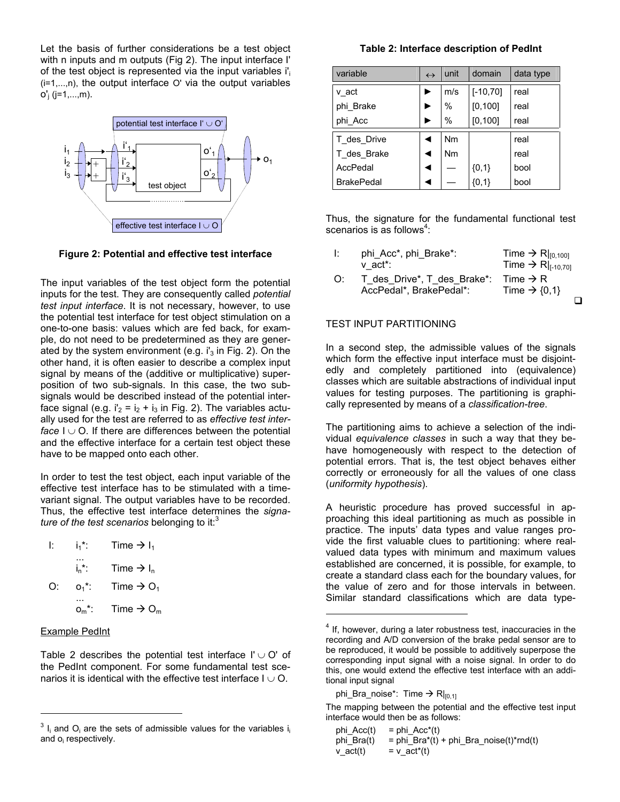Let the basis of further considerations be a test object with n inputs and m outputs (Fig 2). The input interface I' of the test object is represented via the input variables  $i_i$  $(i=1,...,n)$ , the output interface O' via the output variables  $o'$ <sub>i</sub> (j=1,...,m).



**Figure 2: Potential and effective test interface** 

The input variables of the test object form the potential inputs for the test. They are consequently called *potential test input interface*. It is not necessary, however, to use the potential test interface for test object stimulation on a one-to-one basis: values which are fed back, for example, do not need to be predetermined as they are generated by the system environment (e.g.  $i_3$  in Fig. 2). On the other hand, it is often easier to describe a complex input signal by means of the (additive or multiplicative) superposition of two sub-signals. In this case, the two subsignals would be described instead of the potential interface signal (e.g.  $i'_2 = i_2 + i_3$  in Fig. 2). The variables actually used for the test are referred to as *effective test interface*  $I \cup O$ . If there are differences between the potential and the effective interface for a certain test object these have to be mapped onto each other.

In order to test the test object, each input variable of the effective test interface has to be stimulated with a timevariant signal. The output variables have to be recorded. Thus, the effective test interface determines the *signature of the test scenarios* belonging to it:<sup>3</sup>

| Ŀ  | i.*:     | Time $\rightarrow$ I <sub>1</sub> |
|----|----------|-----------------------------------|
|    | $i_n$ .  | Time $\rightarrow$ I <sub>n</sub> |
| Ω÷ | $O_1$ *: | Time $\rightarrow$ O <sub>1</sub> |
|    | ∩…*∶     | Time $\Rightarrow$ O <sub>m</sub> |

#### Example PedInt

l

Table 2 describes the potential test interface  $\mathsf{I}' \cup \mathsf{O}'$  of the PedInt component. For some fundamental test scenarios it is identical with the effective test interface  $I \cup O$ .

#### **Table 2: Interface description of PedInt**

| variable          | $\leftrightarrow$ | unit          | domain      | data type |
|-------------------|-------------------|---------------|-------------|-----------|
| v act             |                   | m/s           | $[-10, 70]$ | real      |
| phi Brake         |                   | $\frac{0}{0}$ | [0, 100]    | real      |
| phi Acc           |                   | $\frac{0}{0}$ | [0, 100]    | real      |
| T des Drive       |                   | Nm            |             | real      |
| T des Brake       |                   | <b>Nm</b>     |             | real      |
| AccPedal          |                   |               | ${0,1}$     | bool      |
| <b>BrakePedal</b> |                   |               | ${0,1}$     | bool      |

Thus, the signature for the fundamental functional test scenarios is as follows $4$ :

| Ŀ. | phi_Acc*, phi_Brake*:       | Time $\rightarrow$ R $ _{[0,100]}$  |
|----|-----------------------------|-------------------------------------|
|    | v act*:                     | Time $\rightarrow$ R  $_{[-10.70]}$ |
| O: | T des Drive*, T des Brake*: | Time $\rightarrow$ R                |
|    | AccPedal*, BrakePedal*:     | Time $\rightarrow$ {0,1}            |
|    |                             |                                     |

#### TEST INPUT PARTITIONING

In a second step, the admissible values of the signals which form the effective input interface must be disjointedly and completely partitioned into (equivalence) classes which are suitable abstractions of individual input values for testing purposes. The partitioning is graphically represented by means of a *classification-tree*.

The partitioning aims to achieve a selection of the individual *equivalence classes* in such a way that they behave homogeneously with respect to the detection of potential errors. That is, the test object behaves either correctly or erroneously for all the values of one class (*uniformity hypothesis*).

A heuristic procedure has proved successful in approaching this ideal partitioning as much as possible in practice. The inputs' data types and value ranges provide the first valuable clues to partitioning: where realvalued data types with minimum and maximum values established are concerned, it is possible, for example, to create a standard class each for the boundary values, for the value of zero and for those intervals in between. Similar standard classifications which are data type-

l

The mapping between the potential and the effective test input interface would then be as follows:

| phi Acc(t) | $=$ phi Acc <sup>*</sup> (t)            |
|------------|-----------------------------------------|
| phi Bra(t) | = phi Bra*(t) + phi Bra noise(t)*rnd(t) |
| $v$ act(t) | $= v$ act <sup>*</sup> (t)              |

 $3$  I<sub>i</sub> and O<sub>i</sub> are the sets of admissible values for the variables i<sub>i</sub> and o<sub>i</sub> respectively.

 $4$  If, however, during a later robustness test, inaccuracies in the recording and A/D conversion of the brake pedal sensor are to be reproduced, it would be possible to additively superpose the corresponding input signal with a noise signal. In order to do this, one would extend the effective test interface with an additional input signal

phi\_Bra\_noise\*: Time  $\rightarrow$  R $|_{[0,1]}$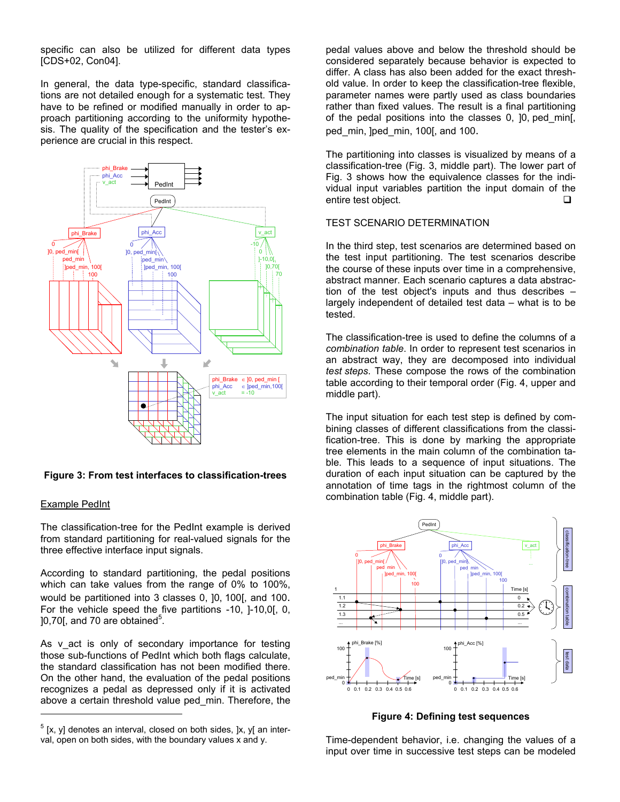specific can also be utilized for different data types [CDS+02, Con04].

In general, the data type-specific, standard classifications are not detailed enough for a systematic test. They have to be refined or modified manually in order to approach partitioning according to the uniformity hypothesis. The quality of the specification and the tester's experience are crucial in this respect.



#### **Figure 3: From test interfaces to classification-trees**

#### Example PedInt

l

The classification-tree for the PedInt example is derived from standard partitioning for real-valued signals for the three effective interface input signals.

According to standard partitioning, the pedal positions which can take values from the range of 0% to 100%, would be partitioned into 3 classes 0, ]0, 100[, and 100. For the vehicle speed the five partitions -10, ]-10,0[, 0,  $]0,70[$ , and 70 are obtained $^5$ .

As v act is only of secondary importance for testing those sub-functions of PedInt which both flags calculate, the standard classification has not been modified there. On the other hand, the evaluation of the pedal positions recognizes a pedal as depressed only if it is activated above a certain threshold value ped\_min. Therefore, the pedal values above and below the threshold should be considered separately because behavior is expected to differ. A class has also been added for the exact threshold value. In order to keep the classification-tree flexible, parameter names were partly used as class boundaries rather than fixed values. The result is a final partitioning of the pedal positions into the classes 0, ]0, ped\_min[, ped min, lped min, 100[, and 100.

The partitioning into classes is visualized by means of a classification-tree (Fig. 3, middle part). The lower part of Fig. 3 shows how the equivalence classes for the individual input variables partition the input domain of the entire test object.

### TEST SCENARIO DETERMINATION

In the third step, test scenarios are determined based on the test input partitioning. The test scenarios describe the course of these inputs over time in a comprehensive, abstract manner. Each scenario captures a data abstraction of the test object's inputs and thus describes – largely independent of detailed test data – what is to be tested.

The classification-tree is used to define the columns of a *combination table*. In order to represent test scenarios in an abstract way, they are decomposed into individual *test steps*. These compose the rows of the combination table according to their temporal order (Fig. 4, upper and middle part).

The input situation for each test step is defined by combining classes of different classifications from the classification-tree. This is done by marking the appropriate tree elements in the main column of the combination table. This leads to a sequence of input situations. The duration of each input situation can be captured by the annotation of time tags in the rightmost column of the combination table (Fig. 4, middle part).



**Figure 4: Defining test sequences** 

Time-dependent behavior, i.e. changing the values of a input over time in successive test steps can be modeled

 $<sup>5</sup>$  [x, y] denotes an interval, closed on both sides, ]x, y[ an inter-</sup> val, open on both sides, with the boundary values x and y.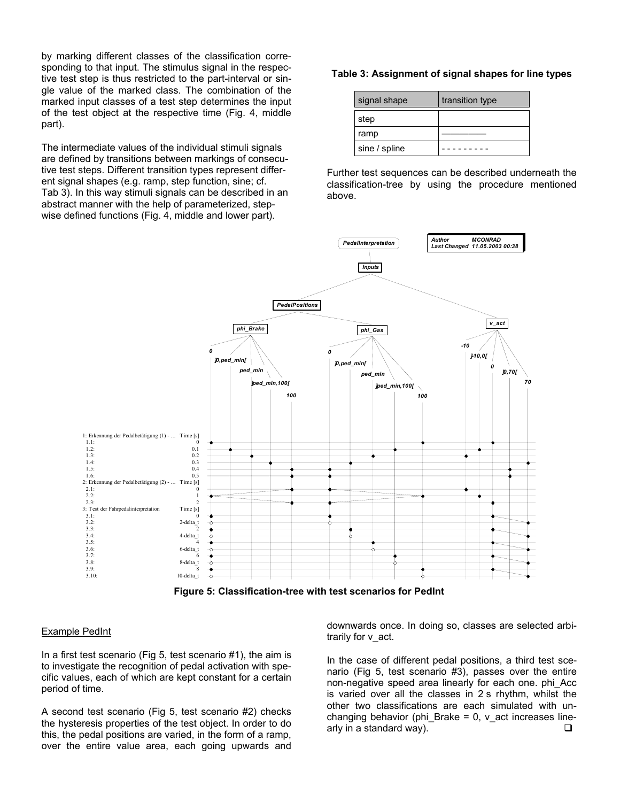by marking different classes of the classification corresponding to that input. The stimulus signal in the respective test step is thus restricted to the part-interval or single value of the marked class. The combination of the marked input classes of a test step determines the input of the test object at the respective time (Fig. 4, middle part).

The intermediate values of the individual stimuli signals are defined by transitions between markings of consecutive test steps. Different transition types represent different signal shapes (e.g. ramp, step function, sine; cf. Tab 3). In this way stimuli signals can be described in an abstract manner with the help of parameterized, stepwise defined functions (Fig. 4, middle and lower part).

#### **Table 3: Assignment of signal shapes for line types**

| signal shape  | transition type |
|---------------|-----------------|
| step          |                 |
| ramp          |                 |
| sine / spline |                 |

Further test sequences can be described underneath the classification-tree by using the procedure mentioned above.



**Figure 5: Classification-tree with test scenarios for PedInt** 

#### Example PedInt

In a first test scenario (Fig 5, test scenario #1), the aim is to investigate the recognition of pedal activation with specific values, each of which are kept constant for a certain period of time.

A second test scenario (Fig 5, test scenario #2) checks the hysteresis properties of the test object. In order to do this, the pedal positions are varied, in the form of a ramp, over the entire value area, each going upwards and downwards once. In doing so, classes are selected arbitrarily for v\_act.

In the case of different pedal positions, a third test scenario (Fig 5, test scenario #3), passes over the entire non-negative speed area linearly for each one. phi\_Acc is varied over all the classes in 2 s rhythm, whilst the other two classifications are each simulated with unchanging behavior (phi\_Brake =  $0$ , v\_act increases linearly in a standard way).  $\Box$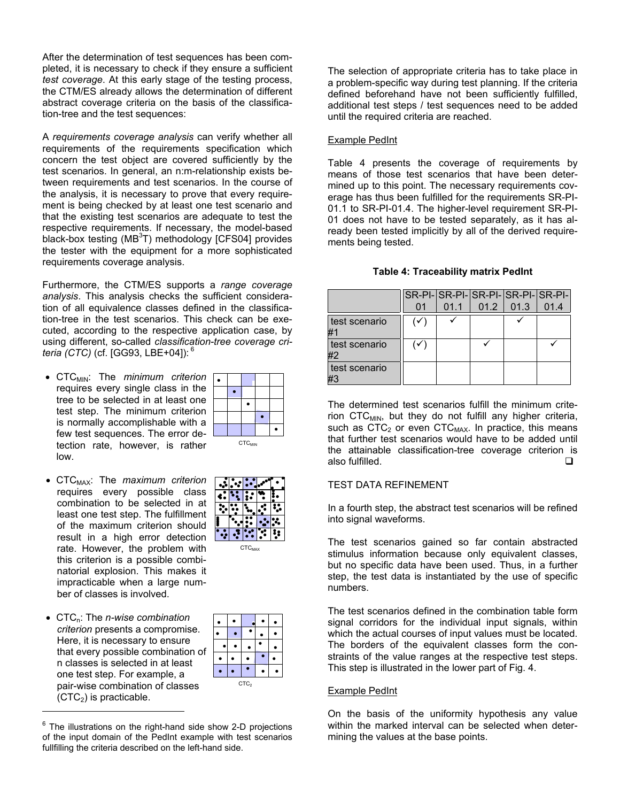After the determination of test sequences has been completed, it is necessary to check if they ensure a sufficient *test coverage*. At this early stage of the testing process, the CTM/ES already allows the determination of different abstract coverage criteria on the basis of the classification-tree and the test sequences:

A *requirements coverage analysis* can verify whether all requirements of the requirements specification which concern the test object are covered sufficiently by the test scenarios. In general, an n:m-relationship exists between requirements and test scenarios. In the course of the analysis, it is necessary to prove that every requirement is being checked by at least one test scenario and that the existing test scenarios are adequate to test the respective requirements. If necessary, the model-based black-box testing (MB ${}^{3}$ T) methodology [CFS04] provides the tester with the equipment for a more sophisticated requirements coverage analysis.

Furthermore, the CTM/ES supports a *range coverage analysis*. This analysis checks the sufficient consideration of all equivalence classes defined in the classification-tree in the test scenarios. This check can be executed, according to the respective application case, by using different, so-called *classification-tree coverage criteria (CTC)* (cf. [GG93, LBE+04]):<sup>6</sup>

- CTC<sub>MIN</sub>: The *minimum criterion* requires every single class in the tree to be selected in at least one test step. The minimum criterion is normally accomplishable with a few test sequences. The error detection rate, however, is rather low.
- CTC<sub>MAX</sub>: The *maximum criterion* requires every possible class combination to be selected in at least one test step. The fulfillment of the maximum criterion should result in a high error detection rate. However, the problem with this criterion is a possible combinatorial explosion. This makes it impracticable when a large number of classes is involved.
- **•** CTC<sub>n</sub>: The *n-wise combination criterion* presents a compromise. Here, it is necessary to ensure that every possible combination of n classes is selected in at least one test step. For example, a pair-wise combination of classes  $(CTC<sub>2</sub>)$  is practicable.

l

|  | $CTC_{MAX}$ |  |
|--|-------------|--|
|  |             |  |
|  |             |  |
|  |             |  |

 $CTC_{MIN}$ 

 $\bullet$ 

 $\bullet$ 

 $6$  The illustrations on the right-hand side show 2-D projections of the input domain of the PedInt example with test scenarios fullfilling the criteria described on the left-hand side.

The selection of appropriate criteria has to take place in a problem-specific way during test planning. If the criteria defined beforehand have not been sufficiently fulfilled, additional test steps / test sequences need to be added until the required criteria are reached.

# Example PedInt

Table 4 presents the coverage of requirements by means of those test scenarios that have been determined up to this point. The necessary requirements coverage has thus been fulfilled for the requirements SR-PI-01.1 to SR-PI-01.4. The higher-level requirement SR-PI-01 does not have to be tested separately, as it has already been tested implicitly by all of the derived requirements being tested.

#### **Table 4: Traceability matrix PedInt**

|                     |              |      |                        | SR-PI-SR-PI-SR-PI-SR-PI-SR-PI- |
|---------------------|--------------|------|------------------------|--------------------------------|
|                     | 01           | 01.1 | $\vert$ 01.2 01.3 01.4 |                                |
| test scenario<br>#1 | $\checkmark$ |      |                        |                                |
| test scenario<br>#2 | $\checkmark$ |      |                        |                                |
| test scenario       |              |      |                        |                                |

The determined test scenarios fulfill the minimum criterion  $CTC_{MIN}$ , but they do not fulfill any higher criteria, such as  $CTC<sub>2</sub>$  or even  $CTC<sub>MAX</sub>$ . In practice, this means that further test scenarios would have to be added until the attainable classification-tree coverage criterion is also fulfilled.

# TEST DATA REFINEMENT

In a fourth step, the abstract test scenarios will be refined into signal waveforms.

The test scenarios gained so far contain abstracted stimulus information because only equivalent classes, but no specific data have been used. Thus, in a further step, the test data is instantiated by the use of specific numbers.

The test scenarios defined in the combination table form signal corridors for the individual input signals, within which the actual courses of input values must be located. The borders of the equivalent classes form the constraints of the value ranges at the respective test steps. This step is illustrated in the lower part of Fig. 4.

# Example PedInt

On the basis of the uniformity hypothesis any value within the marked interval can be selected when determining the values at the base points.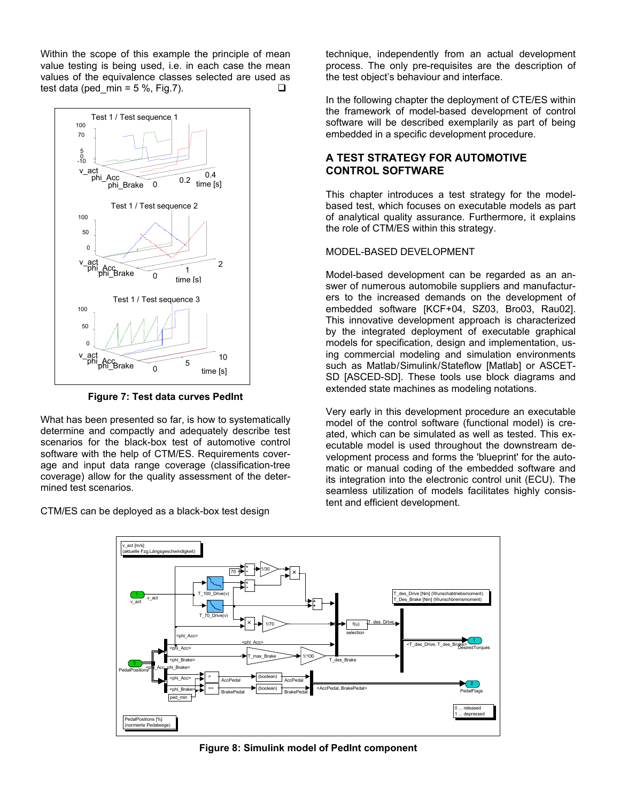Within the scope of this example the principle of mean value testing is being used, i.e. in each case the mean values of the equivalence classes selected are used as test data (ped min = 5 %, Fig.7).  $\square$ 



**Figure 7: Test data curves PedInt** 

What has been presented so far, is how to systematically determine and compactly and adequately describe test scenarios for the black-box test of automotive control software with the help of CTM/ES. Requirements coverage and input data range coverage (classification-tree coverage) allow for the quality assessment of the determined test scenarios.

CTM/ES can be deployed as a black-box test design

technique, independently from an actual development process. The only pre-requisites are the description of the test object's behaviour and interface.

In the following chapter the deployment of CTE/ES within the framework of model-based development of control software will be described exemplarily as part of being embedded in a specific development procedure.

# **A TEST STRATEGY FOR AUTOMOTIVE CONTROL SOFTWARE**

This chapter introduces a test strategy for the modelbased test, which focuses on executable models as part of analytical quality assurance. Furthermore, it explains the role of CTM/ES within this strategy.

## MODEL-BASED DEVELOPMENT

Model-based development can be regarded as an answer of numerous automobile suppliers and manufacturers to the increased demands on the development of embedded software [KCF+04, SZ03, Bro03, Rau02]. This innovative development approach is characterized by the integrated deployment of executable graphical models for specification, design and implementation, using commercial modeling and simulation environments such as Matlab/Simulink/Stateflow [Matlab] or ASCET-SD [ASCED-SD]. These tools use block diagrams and extended state machines as modeling notations.

Very early in this development procedure an executable model of the control software (functional model) is created, which can be simulated as well as tested. This executable model is used throughout the downstream development process and forms the 'blueprint' for the automatic or manual coding of the embedded software and its integration into the electronic control unit (ECU). The seamless utilization of models facilitates highly consistent and efficient development.



**Figure 8: Simulink model of PedInt component**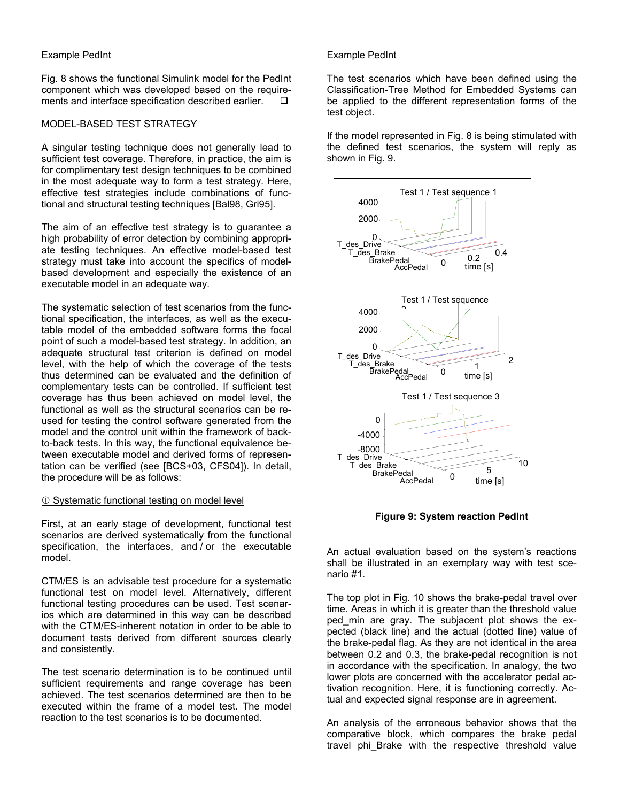# Example PedInt

Fig. 8 shows the functional Simulink model for the PedInt component which was developed based on the requirements and interface specification described earlier.  $\square$ 

# MODEL-BASED TEST STRATEGY

A singular testing technique does not generally lead to sufficient test coverage. Therefore, in practice, the aim is for complimentary test design techniques to be combined in the most adequate way to form a test strategy. Here, effective test strategies include combinations of functional and structural testing techniques [Bal98, Gri95].

The aim of an effective test strategy is to guarantee a high probability of error detection by combining appropriate testing techniques. An effective model-based test strategy must take into account the specifics of modelbased development and especially the existence of an executable model in an adequate way.

The systematic selection of test scenarios from the functional specification, the interfaces, as well as the executable model of the embedded software forms the focal point of such a model-based test strategy. In addition, an adequate structural test criterion is defined on model level, with the help of which the coverage of the tests thus determined can be evaluated and the definition of complementary tests can be controlled. If sufficient test coverage has thus been achieved on model level, the functional as well as the structural scenarios can be reused for testing the control software generated from the model and the control unit within the framework of backto-back tests. In this way, the functional equivalence between executable model and derived forms of representation can be verified (see [BCS+03, CFS04]). In detail, the procedure will be as follows:

# **C Systematic functional testing on model level**

First, at an early stage of development, functional test scenarios are derived systematically from the functional specification, the interfaces, and / or the executable model.

CTM/ES is an advisable test procedure for a systematic functional test on model level. Alternatively, different functional testing procedures can be used. Test scenarios which are determined in this way can be described with the CTM/ES-inherent notation in order to be able to document tests derived from different sources clearly and consistently.

The test scenario determination is to be continued until sufficient requirements and range coverage has been achieved. The test scenarios determined are then to be executed within the frame of a model test. The model reaction to the test scenarios is to be documented.

# Example PedInt

The test scenarios which have been defined using the Classification-Tree Method for Embedded Systems can be applied to the different representation forms of the test object.

If the model represented in Fig. 8 is being stimulated with the defined test scenarios, the system will reply as shown in Fig. 9.



**Figure 9: System reaction PedInt** 

An actual evaluation based on the system's reactions shall be illustrated in an exemplary way with test scenario #1.

The top plot in Fig. 10 shows the brake-pedal travel over time. Areas in which it is greater than the threshold value ped\_min are gray. The subjacent plot shows the expected (black line) and the actual (dotted line) value of the brake-pedal flag. As they are not identical in the area between 0.2 and 0.3, the brake-pedal recognition is not in accordance with the specification. In analogy, the two lower plots are concerned with the accelerator pedal activation recognition. Here, it is functioning correctly. Actual and expected signal response are in agreement.

An analysis of the erroneous behavior shows that the comparative block, which compares the brake pedal travel phi Brake with the respective threshold value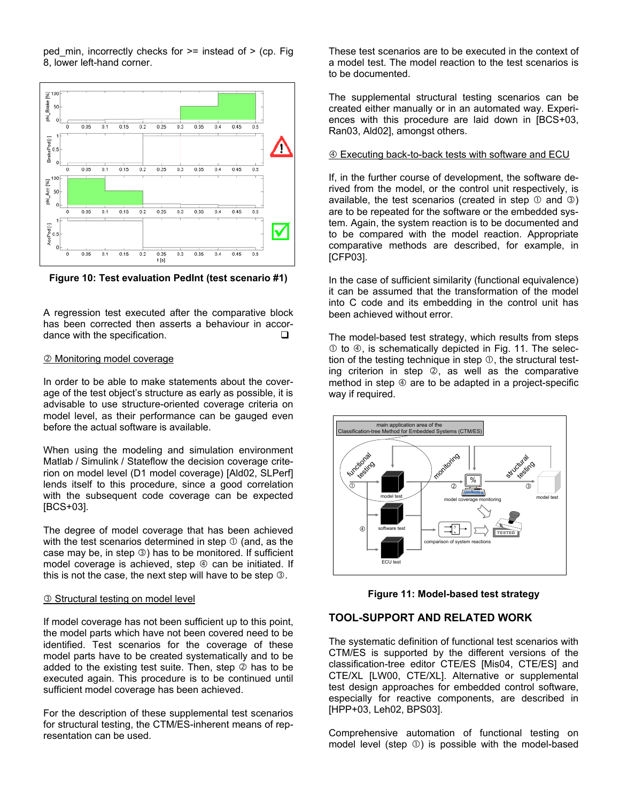ped min, incorrectly checks for  $>=$  instead of  $>$  (cp. Fig. 8, lower left-hand corner.



**Figure 10: Test evaluation PedInt (test scenario #1)** 

A regression test executed after the comparative block has been corrected then asserts a behaviour in accordance with the specification.

#### d Monitoring model coverage

In order to be able to make statements about the coverage of the test object's structure as early as possible, it is advisable to use structure-oriented coverage criteria on model level, as their performance can be gauged even before the actual software is available.

When using the modeling and simulation environment Matlab / Simulink / Stateflow the decision coverage criterion on model level (D1 model coverage) [Ald02, SLPerf] lends itself to this procedure, since a good correlation with the subsequent code coverage can be expected [BCS+03].

The degree of model coverage that has been achieved with the test scenarios determined in step  $\mathbb O$  (and, as the case may be, in step  $\circledcirc$ ) has to be monitored. If sufficient model coverage is achieved, step  $\Phi$  can be initiated. If this is not the case, the next step will have to be step  $\circledcirc$ .

#### **3** Structural testing on model level

If model coverage has not been sufficient up to this point, the model parts which have not been covered need to be identified. Test scenarios for the coverage of these model parts have to be created systematically and to be added to the existing test suite. Then, step  $\oslash$  has to be executed again. This procedure is to be continued until sufficient model coverage has been achieved.

For the description of these supplemental test scenarios for structural testing, the CTM/ES-inherent means of representation can be used.

These test scenarios are to be executed in the context of a model test. The model reaction to the test scenarios is to be documented.

The supplemental structural testing scenarios can be created either manually or in an automated way. Experiences with this procedure are laid down in [BCS+03, Ran03, Ald02], amongst others.

#### $\circledA$  Executing back-to-back tests with software and ECU

If, in the further course of development, the software derived from the model, or the control unit respectively, is available, the test scenarios (created in step  $\odot$  and  $\odot$ ) are to be repeated for the software or the embedded system. Again, the system reaction is to be documented and to be compared with the model reaction. Appropriate comparative methods are described, for example, in [CFP03].

In the case of sufficient similarity (functional equivalence) it can be assumed that the transformation of the model into C code and its embedding in the control unit has been achieved without error.

The model-based test strategy, which results from steps  $\odot$  to  $\odot$ , is schematically depicted in Fig. 11. The selection of the testing technique in step  $\mathbb O$ , the structural testing criterion in step  $\oslash$ , as well as the comparative method in step  $\circled{a}$  are to be adapted in a project-specific way if required.



**Figure 11: Model-based test strategy** 

# **TOOL-SUPPORT AND RELATED WORK**

The systematic definition of functional test scenarios with CTM/ES is supported by the different versions of the classification-tree editor CTE/ES [Mis04, CTE/ES] and CTE/XL [LW00, CTE/XL]. Alternative or supplemental test design approaches for embedded control software, especially for reactive components, are described in [HPP+03, Leh02, BPS03].

Comprehensive automation of functional testing on model level (step  $\odot$ ) is possible with the model-based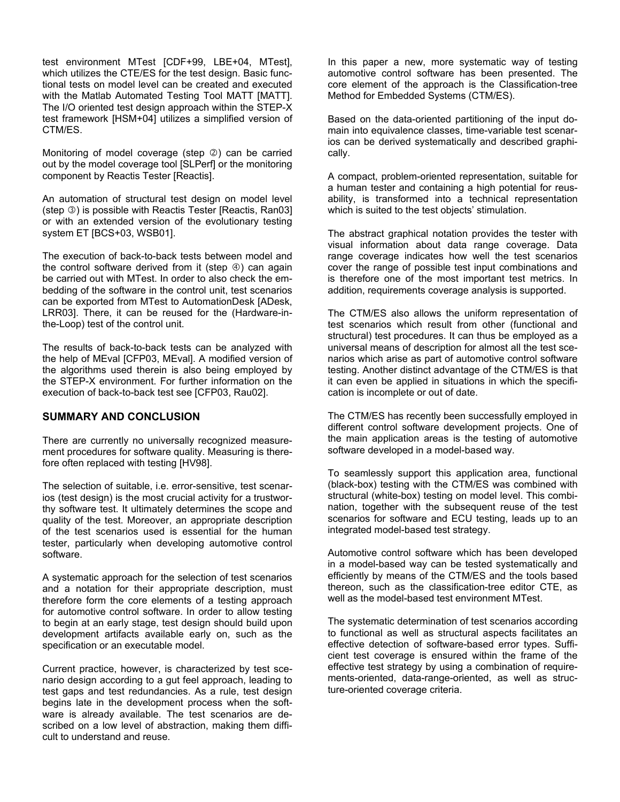test environment MTest [CDF+99, LBE+04, MTest], which utilizes the CTE/ES for the test design. Basic functional tests on model level can be created and executed with the Matlab Automated Testing Tool MATT [MATT]. The I/O oriented test design approach within the STEP-X test framework [HSM+04] utilizes a simplified version of CTM/ES.

Monitoring of model coverage (step  $\oslash$ ) can be carried out by the model coverage tool [SLPerf] or the monitoring component by Reactis Tester [Reactis].

An automation of structural test design on model level (step  $\circled{3}$ ) is possible with Reactis Tester [Reactis, Ran03] or with an extended version of the evolutionary testing system ET [BCS+03, WSB01].

The execution of back-to-back tests between model and the control software derived from it (step  $\circledast$ ) can again be carried out with MTest. In order to also check the embedding of the software in the control unit, test scenarios can be exported from MTest to AutomationDesk [ADesk, LRR03]. There, it can be reused for the (Hardware-inthe-Loop) test of the control unit.

The results of back-to-back tests can be analyzed with the help of MEval [CFP03, MEval]. A modified version of the algorithms used therein is also being employed by the STEP-X environment. For further information on the execution of back-to-back test see [CFP03, Rau02].

# **SUMMARY AND CONCLUSION**

There are currently no universally recognized measurement procedures for software quality. Measuring is therefore often replaced with testing [HV98].

The selection of suitable, i.e. error-sensitive, test scenarios (test design) is the most crucial activity for a trustworthy software test. It ultimately determines the scope and quality of the test. Moreover, an appropriate description of the test scenarios used is essential for the human tester, particularly when developing automotive control software.

A systematic approach for the selection of test scenarios and a notation for their appropriate description, must therefore form the core elements of a testing approach for automotive control software. In order to allow testing to begin at an early stage, test design should build upon development artifacts available early on, such as the specification or an executable model.

Current practice, however, is characterized by test scenario design according to a gut feel approach, leading to test gaps and test redundancies. As a rule, test design begins late in the development process when the software is already available. The test scenarios are described on a low level of abstraction, making them difficult to understand and reuse.

In this paper a new, more systematic way of testing automotive control software has been presented. The core element of the approach is the Classification-tree Method for Embedded Systems (CTM/ES).

Based on the data-oriented partitioning of the input domain into equivalence classes, time-variable test scenarios can be derived systematically and described graphically.

A compact, problem-oriented representation, suitable for a human tester and containing a high potential for reusability, is transformed into a technical representation which is suited to the test objects' stimulation.

The abstract graphical notation provides the tester with visual information about data range coverage. Data range coverage indicates how well the test scenarios cover the range of possible test input combinations and is therefore one of the most important test metrics. In addition, requirements coverage analysis is supported.

The CTM/ES also allows the uniform representation of test scenarios which result from other (functional and structural) test procedures. It can thus be employed as a universal means of description for almost all the test scenarios which arise as part of automotive control software testing. Another distinct advantage of the CTM/ES is that it can even be applied in situations in which the specification is incomplete or out of date.

The CTM/ES has recently been successfully employed in different control software development projects. One of the main application areas is the testing of automotive software developed in a model-based way.

To seamlessly support this application area, functional (black-box) testing with the CTM/ES was combined with structural (white-box) testing on model level. This combination, together with the subsequent reuse of the test scenarios for software and ECU testing, leads up to an integrated model-based test strategy.

Automotive control software which has been developed in a model-based way can be tested systematically and efficiently by means of the CTM/ES and the tools based thereon, such as the classification-tree editor CTE, as well as the model-based test environment MTest.

The systematic determination of test scenarios according to functional as well as structural aspects facilitates an effective detection of software-based error types. Sufficient test coverage is ensured within the frame of the effective test strategy by using a combination of requirements-oriented, data-range-oriented, as well as structure-oriented coverage criteria.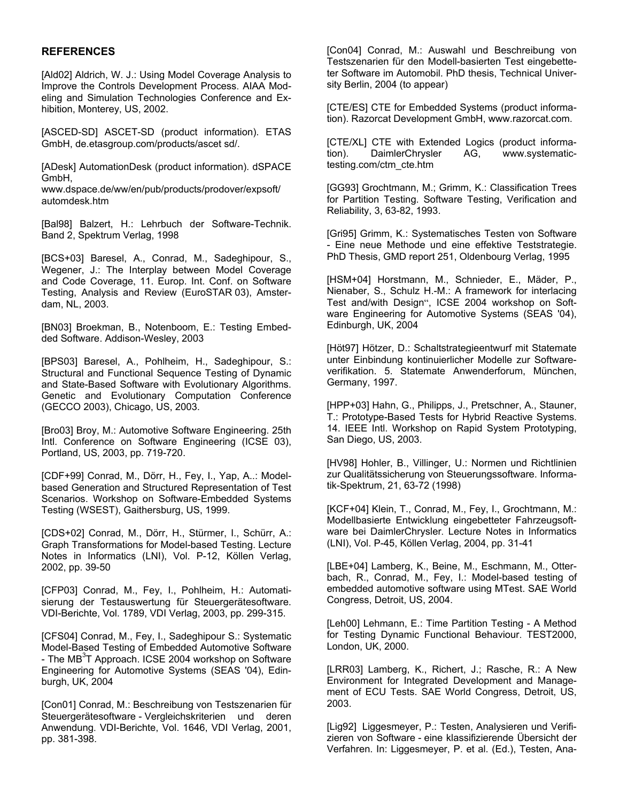# **REFERENCES**

[Ald02] Aldrich, W. J.: Using Model Coverage Analysis to Improve the Controls Development Process. AIAA Modeling and Simulation Technologies Conference and Exhibition, Monterey, US, 2002.

[ASCED-SD] ASCET-SD (product information). ETAS GmbH, de.etasgroup.com/products/ascet sd/.

[ADesk] AutomationDesk (product information). dSPACE GmbH,

www.dspace.de/ww/en/pub/products/prodover/expsoft/ automdesk.htm

[Bal98] Balzert, H.: Lehrbuch der Software-Technik. Band 2, Spektrum Verlag, 1998

[BCS+03] Baresel, A., Conrad, M., Sadeghipour, S., Wegener, J.: The Interplay between Model Coverage and Code Coverage, 11. Europ. Int. Conf. on Software Testing, Analysis and Review (EuroSTAR 03), Amsterdam, NL, 2003.

[BN03] Broekman, B., Notenboom, E.: Testing Embedded Software. Addison-Wesley, 2003

[BPS03] Baresel, A., Pohlheim, H., Sadeghipour, S.: Structural and Functional Sequence Testing of Dynamic and State-Based Software with Evolutionary Algorithms. Genetic and Evolutionary Computation Conference (GECCO 2003), Chicago, US, 2003.

[Bro03] Broy, M.: Automotive Software Engineering. 25th Intl. Conference on Software Engineering (ICSE 03), Portland, US, 2003, pp. 719-720.

[CDF+99] Conrad, M., Dörr, H., Fey, I., Yap, A..: Modelbased Generation and Structured Representation of Test Scenarios. Workshop on Software-Embedded Systems Testing (WSEST), Gaithersburg, US, 1999.

[CDS+02] Conrad, M., Dörr, H., Stürmer, I., Schürr, A.: Graph Transformations for Model-based Testing. Lecture Notes in Informatics (LNI), Vol. P-12, Köllen Verlag, 2002, pp. 39-50

[CFP03] Conrad, M., Fey, I., Pohlheim, H.: Automatisierung der Testauswertung für Steuergerätesoftware. VDI-Berichte, Vol. 1789, VDI Verlag, 2003, pp. 299-315.

[CFS04] Conrad, M., Fey, I., Sadeghipour S.: Systematic Model-Based Testing of Embedded Automotive Software - The MB<sup>3</sup>T Approach. ICSE 2004 workshop on Software Engineering for Automotive Systems (SEAS '04), Edinburgh, UK, 2004

[Con01] Conrad, M.: Beschreibung von Testszenarien für Steuergerätesoftware - Vergleichskriterien und deren Anwendung. VDI-Berichte, Vol. 1646, VDI Verlag, 2001, pp. 381-398.

[Con04] Conrad, M.: Auswahl und Beschreibung von Testszenarien für den Modell-basierten Test eingebetteter Software im Automobil. PhD thesis, Technical University Berlin, 2004 (to appear)

[CTE/ES] CTE for Embedded Systems (product information). Razorcat Development GmbH, www.razorcat.com.

[CTE/XL] CTE with Extended Logics (product information). DaimlerChrysler AG, www.systematictesting.com/ctm\_cte.htm

[GG93] Grochtmann, M.; Grimm, K.: Classification Trees for Partition Testing. Software Testing, Verification and Reliability, 3, 63-82, 1993.

[Gri95] Grimm, K.: Systematisches Testen von Software - Eine neue Methode und eine effektive Teststrategie. PhD Thesis, GMD report 251, Oldenbourg Verlag, 1995

[HSM+04] Horstmann, M., Schnieder, E., Mäder, P., Nienaber, S., Schulz H.-M.: A framework for interlacing Test and/with Design", ICSE 2004 workshop on Software Engineering for Automotive Systems (SEAS '04), Edinburgh, UK, 2004

[Höt97] Hötzer, D.: Schaltstrategieentwurf mit Statemate unter Einbindung kontinuierlicher Modelle zur Softwareverifikation. 5. Statemate Anwenderforum, München, Germany, 1997.

[HPP+03] Hahn, G., Philipps, J., Pretschner, A., Stauner, T.: Prototype-Based Tests for Hybrid Reactive Systems. 14. IEEE Intl. Workshop on Rapid System Prototyping, San Diego, US, 2003.

[HV98] Hohler, B., Villinger, U.: Normen und Richtlinien zur Qualitätssicherung von Steuerungssoftware. Informatik-Spektrum, 21, 63-72 (1998)

[KCF+04] Klein, T., Conrad, M., Fey, I., Grochtmann, M.: Modellbasierte Entwicklung eingebetteter Fahrzeugsoftware bei DaimlerChrysler. Lecture Notes in Informatics (LNI), Vol. P-45, Köllen Verlag, 2004, pp. 31-41

[LBE+04] Lamberg, K., Beine, M., Eschmann, M., Otterbach, R., Conrad, M., Fey, I.: Model-based testing of embedded automotive software using MTest. SAE World Congress, Detroit, US, 2004.

[Leh00] Lehmann, E.: Time Partition Testing - A Method for Testing Dynamic Functional Behaviour. TEST2000, London, UK, 2000.

[LRR03] Lamberg, K., Richert, J.; Rasche, R.: A New Environment for Integrated Development and Management of ECU Tests. SAE World Congress, Detroit, US, 2003.

[Lig92] Liggesmeyer, P.: Testen, Analysieren und Verifizieren von Software - eine klassifizierende Übersicht der Verfahren. In: Liggesmeyer, P. et al. (Ed.), Testen, Ana